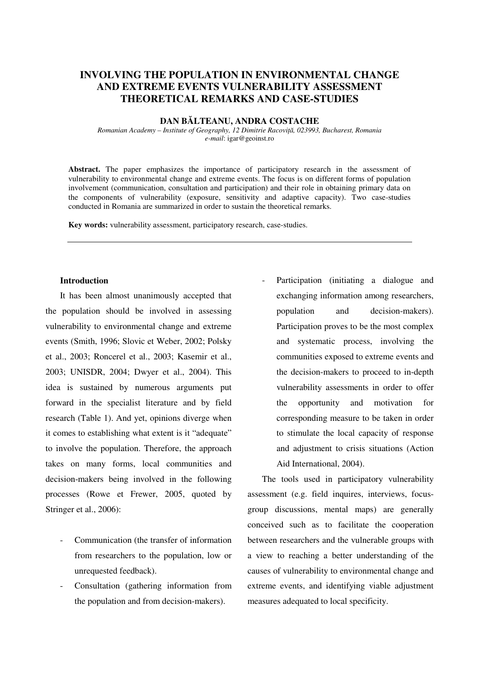# **INVOLVING THE POPULATION IN ENVIRONMENTAL CHANGE AND EXTREME EVENTS VULNERABILITY ASSESSMENT THEORETICAL REMARKS AND CASE-STUDIES**

#### **DAN BĂLTEANU, ANDRA COSTACHE**

*Romanian Academy – Institute of Geography, 12 Dimitrie Racoviţă, 023993, Bucharest, Romania e-mail*: igar@geoinst.ro

Abstract. The paper emphasizes the importance of participatory research in the assessment of vulnerability to environmental change and extreme events. The focus is on different forms of population involvement (communication, consultation and participation) and their role in obtaining primary data on the components of vulnerability (exposure, sensitivity and adaptive capacity). Two case-studies conducted in Romania are summarized in order to sustain the theoretical remarks.

**Key words:** vulnerability assessment, participatory research, case-studies.

### **Introduction**

It has been almost unanimously accepted that the population should be involved in assessing vulnerability to environmental change and extreme events (Smith, 1996; Slovic et Weber, 2002; Polsky et al., 2003; Roncerel et al., 2003; Kasemir et al., 2003; UNISDR, 2004; Dwyer et al., 2004). This idea is sustained by numerous arguments put forward in the specialist literature and by field research (Table 1). And yet, opinions diverge when it comes to establishing what extent is it "adequate" to involve the population. Therefore, the approach takes on many forms, local communities and decision-makers being involved in the following processes (Rowe et Frewer, 2005, quoted by Stringer et al., 2006):

- Communication (the transfer of information from researchers to the population, low or unrequested feedback).
- Consultation (gathering information from the population and from decision-makers).

Participation (initiating a dialogue and exchanging information among researchers, population and decision-makers). Participation proves to be the most complex and systematic process, involving the communities exposed to extreme events and the decision-makers to proceed to in-depth vulnerability assessments in order to offer the opportunity and motivation for corresponding measure to be taken in order to stimulate the local capacity of response and adjustment to crisis situations (Action Aid International, 2004).

The tools used in participatory vulnerability assessment (e.g. field inquires, interviews, focusgroup discussions, mental maps) are generally conceived such as to facilitate the cooperation between researchers and the vulnerable groups with a view to reaching a better understanding of the causes of vulnerability to environmental change and extreme events, and identifying viable adjustment measures adequated to local specificity.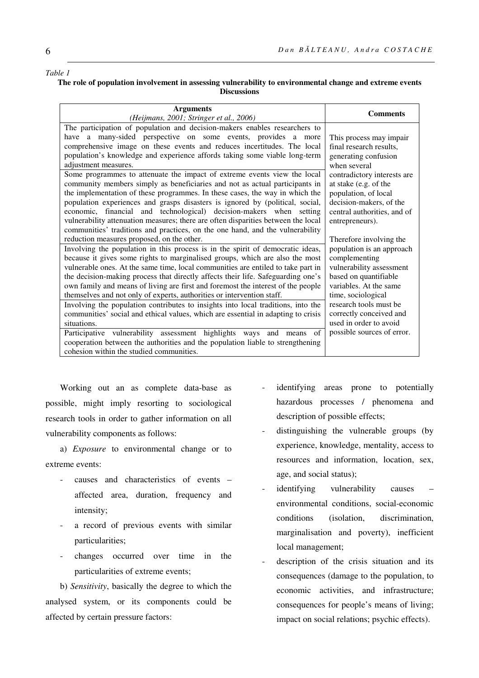#### *Table 1*

#### **The role of population involvement in assessing vulnerability to environmental change and extreme events Discussions**

| <b>Arguments</b>                                                                  | <b>Comments</b>             |
|-----------------------------------------------------------------------------------|-----------------------------|
| (Heijmans, 2001; Stringer et al., 2006)                                           |                             |
| The participation of population and decision-makers enables researchers to        |                             |
| have a many-sided perspective on some events, provides a more                     | This process may impair     |
| comprehensive image on these events and reduces incertitudes. The local           | final research results,     |
| population's knowledge and experience affords taking some viable long-term        | generating confusion        |
| adjustment measures.                                                              | when several                |
| Some programmes to attenuate the impact of extreme events view the local          | contradictory interests are |
| community members simply as beneficiaries and not as actual participants in       | at stake (e.g. of the       |
| the implementation of these programmes. In these cases, the way in which the      | population, of local        |
| population experiences and grasps disasters is ignored by (political, social,     | decision-makers, of the     |
| economic, financial and technological) decision-makers when setting               | central authorities, and of |
| vulnerability attenuation measures; there are often disparities between the local | entrepreneurs).             |
| communities' traditions and practices, on the one hand, and the vulnerability     |                             |
| reduction measures proposed, on the other.                                        | Therefore involving the     |
| Involving the population in this process is in the spirit of democratic ideas,    | population is an approach   |
| because it gives some rights to marginalised groups, which are also the most      | complementing               |
| vulnerable ones. At the same time, local communities are entiled to take part in  | vulnerability assessment    |
| the decision-making process that directly affects their life. Safeguarding one's  | based on quantifiable       |
| own family and means of living are first and foremost the interest of the people  | variables. At the same      |
| themselves and not only of experts, authorities or intervention staff.            | time, sociological          |
| Involving the population contributes to insights into local traditions, into the  | research tools must be      |
| communities' social and ethical values, which are essential in adapting to crisis | correctly conceived and     |
| situations.                                                                       | used in order to avoid      |
| Participative vulnerability assessment highlights ways and means<br>$\sigma$ f    | possible sources of error.  |
| cooperation between the authorities and the population liable to strengthening    |                             |
| cohesion within the studied communities.                                          |                             |

Working out an as complete data-base as possible, might imply resorting to sociological research tools in order to gather information on all vulnerability components as follows:

a) *Exposure* to environmental change or to extreme events:

- causes and characteristics of events affected area, duration, frequency and intensity;
- a record of previous events with similar particularities;
- changes occurred over time in the particularities of extreme events;

b) *Sensitivity*, basically the degree to which the analysed system, or its components could be affected by certain pressure factors:

- identifying areas prone to potentially hazardous processes / phenomena and description of possible effects;
- distinguishing the vulnerable groups (by experience, knowledge, mentality, access to resources and information, location, sex, age, and social status);
- identifying vulnerability causes environmental conditions, social-economic conditions (isolation, discrimination, marginalisation and poverty), inefficient local management;
- description of the crisis situation and its consequences (damage to the population, to economic activities, and infrastructure; consequences for people's means of living; impact on social relations; psychic effects).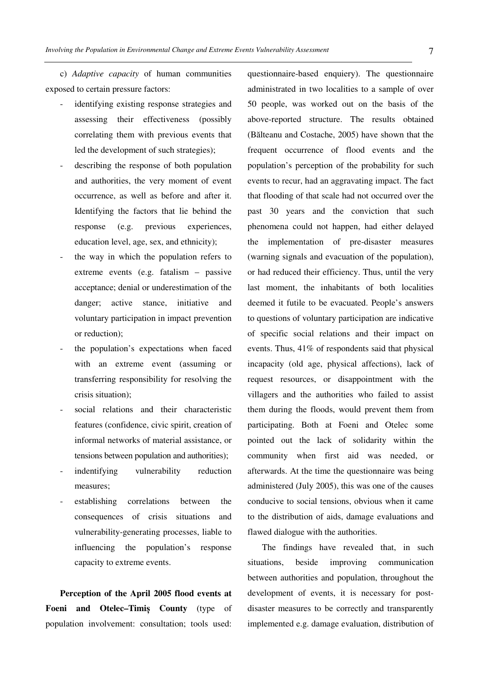c) *Adaptive capacity* of human communities exposed to certain pressure factors:

- identifying existing response strategies and assessing their effectiveness (possibly correlating them with previous events that led the development of such strategies);
- describing the response of both population and authorities, the very moment of event occurrence, as well as before and after it. Identifying the factors that lie behind the response (e.g. previous experiences, education level, age, sex, and ethnicity);
- the way in which the population refers to extreme events (e.g. fatalism – passive acceptance; denial or underestimation of the danger; active stance, initiative and voluntary participation in impact prevention or reduction);
- the population's expectations when faced with an extreme event (assuming or transferring responsibility for resolving the crisis situation);
- social relations and their characteristic features (confidence, civic spirit, creation of informal networks of material assistance, or tensions between population and authorities);
- indentifying vulnerability reduction measures;
- establishing correlations between the consequences of crisis situations and vulnerability-generating processes, liable to influencing the population's response capacity to extreme events.

**Perception of the April 2005 flood events at Foeni and Otelec–Timiș County** (type of population involvement: consultation; tools used:

questionnaire-based enquiery). The questionnaire administrated in two localities to a sample of over 50 people, was worked out on the basis of the above-reported structure. The results obtained (Bălteanu and Costache, 2005) have shown that the frequent occurrence of flood events and the population's perception of the probability for such events to recur, had an aggravating impact. The fact that flooding of that scale had not occurred over the past 30 years and the conviction that such phenomena could not happen, had either delayed the implementation of pre-disaster measures (warning signals and evacuation of the population), or had reduced their efficiency. Thus, until the very last moment, the inhabitants of both localities deemed it futile to be evacuated. People's answers to questions of voluntary participation are indicative of specific social relations and their impact on events. Thus, 41% of respondents said that physical incapacity (old age, physical affections), lack of request resources, or disappointment with the villagers and the authorities who failed to assist them during the floods, would prevent them from participating. Both at Foeni and Otelec some pointed out the lack of solidarity within the community when first aid was needed, or afterwards. At the time the questionnaire was being administered (July 2005), this was one of the causes conducive to social tensions, obvious when it came to the distribution of aids, damage evaluations and flawed dialogue with the authorities.

The findings have revealed that, in such situations, beside improving communication between authorities and population, throughout the development of events, it is necessary for postdisaster measures to be correctly and transparently implemented e.g. damage evaluation, distribution of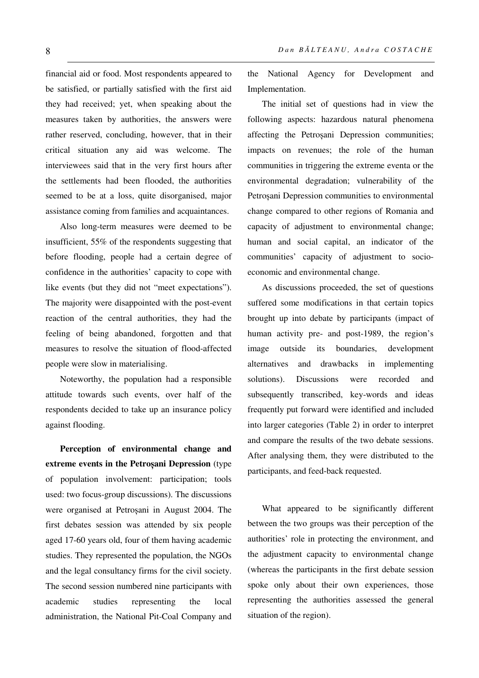financial aid or food. Most respondents appeared to be satisfied, or partially satisfied with the first aid they had received; yet, when speaking about the measures taken by authorities, the answers were rather reserved, concluding, however, that in their critical situation any aid was welcome. The interviewees said that in the very first hours after the settlements had been flooded, the authorities seemed to be at a loss, quite disorganised, major assistance coming from families and acquaintances.

Also long-term measures were deemed to be insufficient, 55% of the respondents suggesting that before flooding, people had a certain degree of confidence in the authorities' capacity to cope with like events (but they did not "meet expectations"). The majority were disappointed with the post-event reaction of the central authorities, they had the feeling of being abandoned, forgotten and that measures to resolve the situation of flood-affected people were slow in materialising.

Noteworthy, the population had a responsible attitude towards such events, over half of the respondents decided to take up an insurance policy against flooding.

**Perception of environmental change and extreme events in the Petroșani Depression** (type of population involvement: participation; tools used: two focus-group discussions). The discussions were organised at Petroșani in August 2004. The first debates session was attended by six people aged 17-60 years old, four of them having academic studies. They represented the population, the NGOs and the legal consultancy firms for the civil society. The second session numbered nine participants with academic studies representing the local administration, the National Pit-Coal Company and the National Agency for Development and Implementation.

The initial set of questions had in view the following aspects: hazardous natural phenomena affecting the Petroșani Depression communities; impacts on revenues; the role of the human communities in triggering the extreme eventa or the environmental degradation; vulnerability of the Petroșani Depression communities to environmental change compared to other regions of Romania and capacity of adjustment to environmental change; human and social capital, an indicator of the communities' capacity of adjustment to socioeconomic and environmental change.

As discussions proceeded, the set of questions suffered some modifications in that certain topics brought up into debate by participants (impact of human activity pre- and post-1989, the region's image outside its boundaries, development alternatives and drawbacks in implementing solutions). Discussions were recorded and subsequently transcribed, key-words and ideas frequently put forward were identified and included into larger categories (Table 2) in order to interpret and compare the results of the two debate sessions. After analysing them, they were distributed to the participants, and feed-back requested.

What appeared to be significantly different between the two groups was their perception of the authorities' role in protecting the environment, and the adjustment capacity to environmental change (whereas the participants in the first debate session spoke only about their own experiences, those representing the authorities assessed the general situation of the region).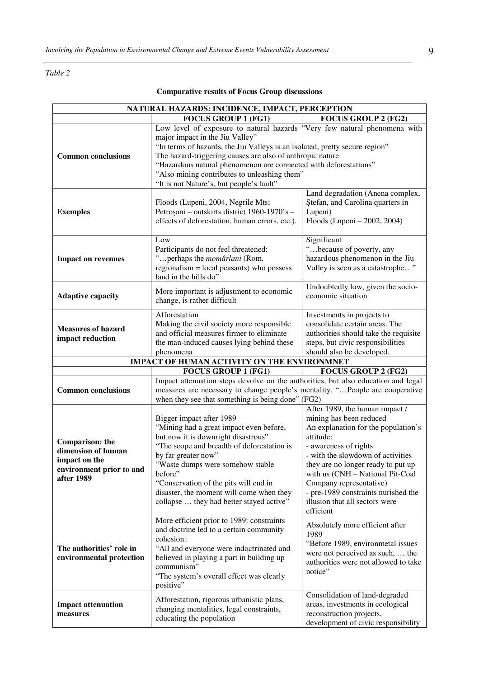### *Table 2*

| NATURAL HAZARDS: INCIDENCE, IMPACT, PERCEPTION                                                          |                                                                                                                                                                                                                                                                                                                                                                                                                          |                                                                                                                                                                                                                                                                                                                                                                        |  |
|---------------------------------------------------------------------------------------------------------|--------------------------------------------------------------------------------------------------------------------------------------------------------------------------------------------------------------------------------------------------------------------------------------------------------------------------------------------------------------------------------------------------------------------------|------------------------------------------------------------------------------------------------------------------------------------------------------------------------------------------------------------------------------------------------------------------------------------------------------------------------------------------------------------------------|--|
|                                                                                                         | <b>FOCUS GROUP 1 (FG1)</b>                                                                                                                                                                                                                                                                                                                                                                                               | <b>FOCUS GROUP 2 (FG2)</b>                                                                                                                                                                                                                                                                                                                                             |  |
| <b>Common conclusions</b>                                                                               | Low level of exposure to natural hazards "Very few natural phenomena with<br>major impact in the Jiu Valley"<br>"In terms of hazards, the Jiu Valleys is an isolated, pretty secure region"<br>The hazard-triggering causes are also of anthropic nature<br>"Hazardous natural phenomenon are connected with deforestations"<br>"Also mining contributes to unleashing them"<br>"It is not Nature's, but people's fault" |                                                                                                                                                                                                                                                                                                                                                                        |  |
| <b>Exemples</b>                                                                                         | Floods (Lupeni, 2004, Negrile Mts;<br>Petroșani - outskirts district 1960-1970's -<br>effects of deforestation, human errors, etc.).                                                                                                                                                                                                                                                                                     | Land degradation (Anena complex,<br>Ștefan, and Carolina quarters in<br>Lupeni)<br>Floods (Lupeni – 2002, 2004)                                                                                                                                                                                                                                                        |  |
| <b>Impact on revenues</b>                                                                               | Low<br>Participants do not feel threatened:<br>" perhaps the <i>momârlani</i> (Rom.<br>regionalism $=$ local peasants) who possess<br>land in the hills do"                                                                                                                                                                                                                                                              | Significant<br>"because of poverty, any<br>hazardous phenomenon in the Jiu<br>Valley is seen as a catastrophe"                                                                                                                                                                                                                                                         |  |
| <b>Adaptive capacity</b>                                                                                | More important is adjustment to economic<br>change, is rather difficult                                                                                                                                                                                                                                                                                                                                                  | Undoubtedly low, given the socio-<br>economic situation                                                                                                                                                                                                                                                                                                                |  |
| <b>Measures of hazard</b><br>impact reduction                                                           | Afforestation<br>Making the civil society more responsible<br>and official measures firmer to eliminate<br>the man-induced causes lying behind these<br>phenomena                                                                                                                                                                                                                                                        | Investments in projects to<br>consolidate certain areas. The<br>authorities should take the requisite<br>steps, but civic responsibilities<br>should also be developed.                                                                                                                                                                                                |  |
|                                                                                                         | IMPACT OF HUMAN ACTIVITY ON THE ENVIRONMNET                                                                                                                                                                                                                                                                                                                                                                              |                                                                                                                                                                                                                                                                                                                                                                        |  |
|                                                                                                         |                                                                                                                                                                                                                                                                                                                                                                                                                          |                                                                                                                                                                                                                                                                                                                                                                        |  |
|                                                                                                         | <b>FOCUS GROUP 1 (FG1)</b>                                                                                                                                                                                                                                                                                                                                                                                               | <b>FOCUS GROUP 2 (FG2)</b>                                                                                                                                                                                                                                                                                                                                             |  |
| <b>Common conclusions</b>                                                                               | Impact attenuation steps devolve on the authorities, but also education and legal<br>measures are necessary to change people's mentality. "People are cooperative<br>when they see that something is being done" (FG2)                                                                                                                                                                                                   |                                                                                                                                                                                                                                                                                                                                                                        |  |
| <b>Comparison:</b> the<br>dimension of human<br>impact on the<br>environment prior to and<br>after 1989 | Bigger impact after 1989<br>"Mining had a great impact even before,<br>but now it is downright disastrous"<br>"The scope and breadth of deforestation is<br>by far greater now"<br>"Waste dumps were somehow stable<br>before"<br>"Conservation of the pits will end in<br>disaster, the moment will come when they<br>collapse  they had better stayed active"                                                          | After 1989, the human impact /<br>mining has been reduced<br>An explanation for the population's<br>attitude:<br>- awareness of rights<br>- with the slowdown of activities<br>they are no longer ready to put up<br>with us (CNH - National Pit-Coal<br>Company representative)<br>- pre-1989 constraints nurished the<br>illusion that all sectors were<br>efficient |  |
| The authorities' role in<br>environmental protection                                                    | More efficient prior to 1989: constraints<br>and doctrine led to a certain community<br>cohesion:<br>"All and everyone were indoctrinated and<br>believed in playing a part in building up<br>communism"<br>"The system's overall effect was clearly<br>positive"                                                                                                                                                        | Absolutely more efficient after<br>1989<br>"Before 1989, environmetal issues<br>were not perceived as such,  the<br>authorities were not allowed to take<br>notice"<br>Consolidation of land-degraded                                                                                                                                                                  |  |

## **Comparative results of Focus Group discussions**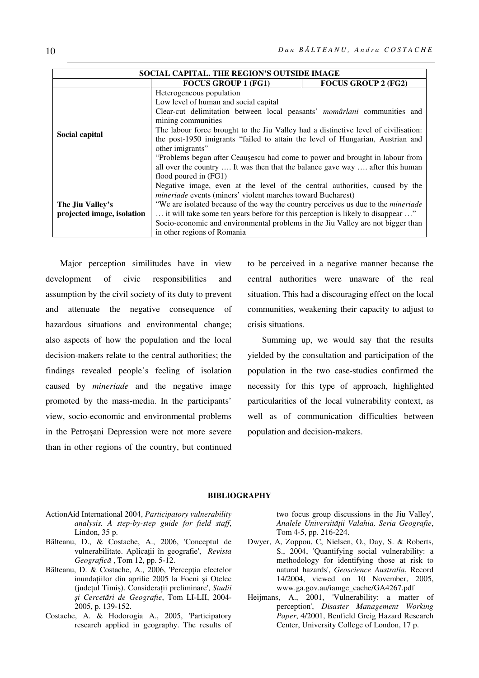| SOCIAL CAPITAL. THE REGION'S OUTSIDE IMAGE |                                                                                                                                                                                             |                            |  |
|--------------------------------------------|---------------------------------------------------------------------------------------------------------------------------------------------------------------------------------------------|----------------------------|--|
|                                            | <b>FOCUS GROUP 1 (FG1)</b>                                                                                                                                                                  | <b>FOCUS GROUP 2 (FG2)</b> |  |
|                                            | Heterogeneous population                                                                                                                                                                    |                            |  |
|                                            | Low level of human and social capital                                                                                                                                                       |                            |  |
|                                            | Clear-cut delimitation between local peasants' momârlani communities and                                                                                                                    |                            |  |
|                                            | mining communities<br>The labour force brought to the Jiu Valley had a distinctive level of civilisation:<br>the post-1950 imigrants "failed to attain the level of Hungarian, Austrian and |                            |  |
| Social capital                             |                                                                                                                                                                                             |                            |  |
|                                            |                                                                                                                                                                                             |                            |  |
|                                            | other imigrants"                                                                                                                                                                            |                            |  |
|                                            | "Problems began after Ceaușescu had come to power and brought in labour from                                                                                                                |                            |  |
|                                            | all over the country  It was then that the balance gave way  after this human                                                                                                               |                            |  |
|                                            | flood poured in (FG1)                                                                                                                                                                       |                            |  |
|                                            | Negative image, even at the level of the central authorities, caused by the                                                                                                                 |                            |  |
|                                            | <i>mineriade</i> events (miners' violent marches toward Bucharest)                                                                                                                          |                            |  |
| The Jiu Valley's                           | "We are isolated because of the way the country perceives us due to the <i>mineriade</i>                                                                                                    |                            |  |
| projected image, isolation                 | it will take some ten years before for this perception is likely to disappear "                                                                                                             |                            |  |
|                                            | Socio-economic and environmental problems in the Jiu Valley are not bigger than                                                                                                             |                            |  |
|                                            | in other regions of Romania                                                                                                                                                                 |                            |  |

Major perception similitudes have in view development of civic responsibilities and assumption by the civil society of its duty to prevent and attenuate the negative consequence of hazardous situations and environmental change; also aspects of how the population and the local decision-makers relate to the central authorities; the findings revealed people's feeling of isolation caused by *mineriade* and the negative image promoted by the mass-media. In the participants' view, socio-economic and environmental problems in the Petroșani Depression were not more severe than in other regions of the country, but continued

to be perceived in a negative manner because the central authorities were unaware of the real situation. This had a discouraging effect on the local communities, weakening their capacity to adjust to crisis situations.

Summing up, we would say that the results yielded by the consultation and participation of the population in the two case-studies confirmed the necessity for this type of approach, highlighted particularities of the local vulnerability context, as well as of communication difficulties between population and decision-makers.

#### **BIBLIOGRAPHY**

- ActionAid International 2004, *Participatory vulnerability analysis. A step-by-step guide for field staff*, Lindon, 35 p.
- Bălteanu, D., & Costache, A., 2006, 'Conceptul de vulnerabilitate. Aplicaţii în geografie', *Revista Geografică* , Tom 12, pp. 5-12.
- Bălteanu, D. & Costache, A., 2006, 'Perceptia efectelor inundatiilor din aprilie 2005 la Foeni și Otelec (judeţul Timiș). Consideraţii preliminare', *Studii și Cercetări de Geografie*, Tom LI-LII, 2004- 2005, p. 139-152.
- Costache, A. & Hodorogia A., 2005, 'Participatory research applied in geography. The results of

two focus group discussions in the Jiu Valley', *Analele Universităţii Valahia, Seria Geografie*, Tom 4-5, pp. 216-224.

- Dwyer, A, Zoppou, C, Nielsen, O., Day, S. & Roberts, S., 2004, 'Quantifying social vulnerability: a methodology for identifying those at risk to natural hazards', *Geoscience Australia*, Record 14/2004, viewed on 10 November, 2005, www.ga.gov.au/iamge\_cache/GA4267.pdf
- Heijmans, A., 2001, 'Vulnerability: a matter of perception', *Disaster Management Working Paper*, 4/2001, Benfield Greig Hazard Research Center, University College of London, 17 p.